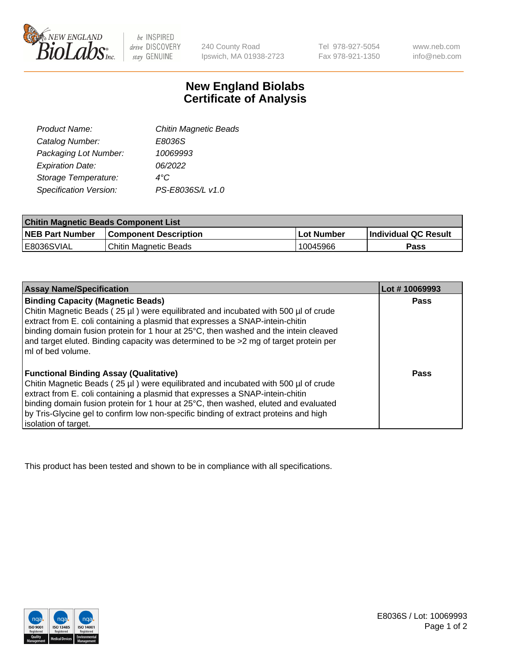

 $be$  INSPIRED drive DISCOVERY stay GENUINE

240 County Road Ipswich, MA 01938-2723 Tel 978-927-5054 Fax 978-921-1350 www.neb.com info@neb.com

## **New England Biolabs Certificate of Analysis**

| <b>Chitin Magnetic Beads</b> |
|------------------------------|
| E8036S                       |
| 10069993                     |
| 06/2022                      |
| 4°C                          |
| PS-E8036S/L v1.0             |
|                              |

| <b>Chitin Magnetic Beads Component List</b> |                              |            |                      |  |
|---------------------------------------------|------------------------------|------------|----------------------|--|
| <b>NEB Part Number</b>                      | <b>Component Description</b> | Lot Number | Individual QC Result |  |
| E8036SVIAL                                  | Chitin Magnetic Beads        | 10045966   | <b>Pass</b>          |  |

| <b>Assay Name/Specification</b>                                                                                                                                                                                 | Lot #10069993 |
|-----------------------------------------------------------------------------------------------------------------------------------------------------------------------------------------------------------------|---------------|
| <b>Binding Capacity (Magnetic Beads)</b><br>Chitin Magnetic Beads (25 µl) were equilibrated and incubated with 500 µl of crude<br>extract from E. coli containing a plasmid that expresses a SNAP-intein-chitin | Pass          |
| binding domain fusion protein for 1 hour at 25°C, then washed and the intein cleaved<br>and target eluted. Binding capacity was determined to be >2 mg of target protein per<br>ml of bed volume.               |               |
| <b>Functional Binding Assay (Qualitative)</b>                                                                                                                                                                   | Pass          |
| Chitin Magnetic Beads (25 µl) were equilibrated and incubated with 500 µl of crude                                                                                                                              |               |
| extract from E. coli containing a plasmid that expresses a SNAP-intein-chitin                                                                                                                                   |               |
| binding domain fusion protein for 1 hour at 25°C, then washed, eluted and evaluated                                                                                                                             |               |
| by Tris-Glycine gel to confirm low non-specific binding of extract proteins and high                                                                                                                            |               |
| isolation of target.                                                                                                                                                                                            |               |

This product has been tested and shown to be in compliance with all specifications.